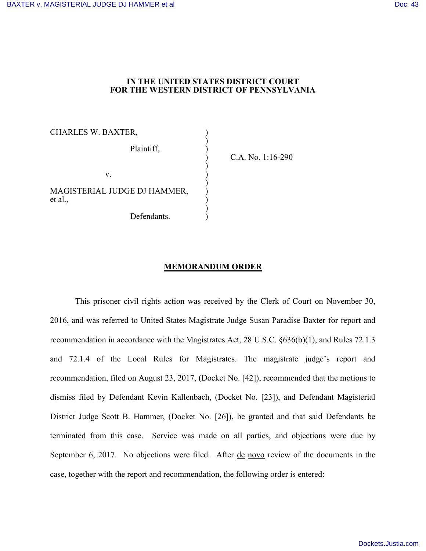## **IN THE UNITED STATES DISTRICT COURT FOR THE WESTERN DISTRICT OF PENNSYLVANIA**

CHARLES W. BAXTER, ) ) Plaintiff, ) )  $\mathbf{v}$ .  $\qquad \qquad \qquad$  ) ) MAGISTERIAL JUDGE DJ HAMMER, ) et al., ) ) Defendants.

) C.A. No. 1:16-290

## **MEMORANDUM ORDER**

This prisoner civil rights action was received by the Clerk of Court on November 30, 2016, and was referred to United States Magistrate Judge Susan Paradise Baxter for report and recommendation in accordance with the Magistrates Act, 28 U.S.C. §636(b)(1), and Rules 72.1.3 and 72.1.4 of the Local Rules for Magistrates. The magistrate judge's report and recommendation, filed on August 23, 2017, (Docket No. [42]), recommended that the motions to dismiss filed by Defendant Kevin Kallenbach, (Docket No. [23]), and Defendant Magisterial District Judge Scott B. Hammer, (Docket No. [26]), be granted and that said Defendants be terminated from this case. Service was made on all parties, and objections were due by September 6, 2017. No objections were filed. After de novo review of the documents in the case, together with the report and recommendation, the following order is entered: